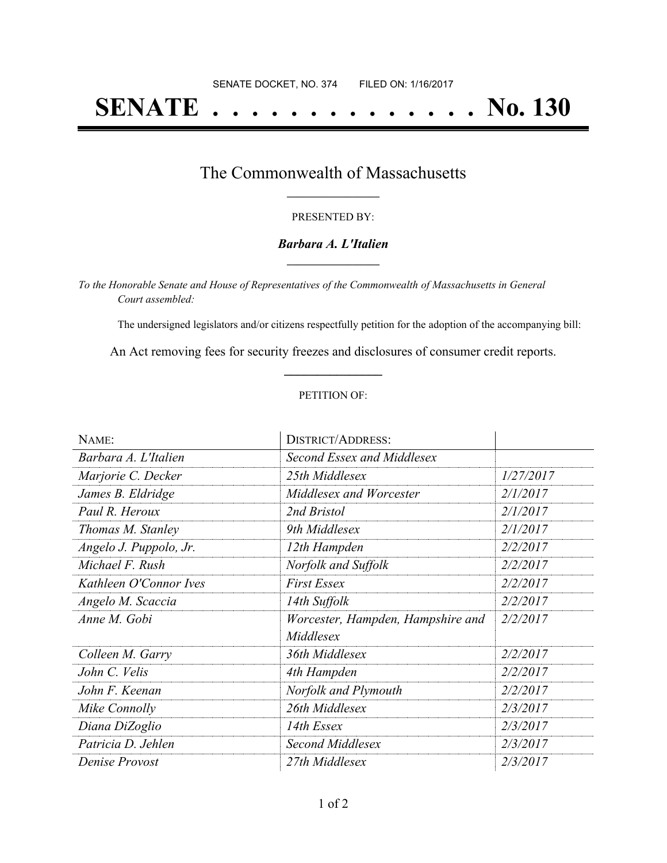# **SENATE . . . . . . . . . . . . . . No. 130**

### The Commonwealth of Massachusetts **\_\_\_\_\_\_\_\_\_\_\_\_\_\_\_\_\_**

#### PRESENTED BY:

#### *Barbara A. L'Italien* **\_\_\_\_\_\_\_\_\_\_\_\_\_\_\_\_\_**

*To the Honorable Senate and House of Representatives of the Commonwealth of Massachusetts in General Court assembled:*

The undersigned legislators and/or citizens respectfully petition for the adoption of the accompanying bill:

An Act removing fees for security freezes and disclosures of consumer credit reports. **\_\_\_\_\_\_\_\_\_\_\_\_\_\_\_**

#### PETITION OF:

| NAME:                  | <b>DISTRICT/ADDRESS:</b>          |           |
|------------------------|-----------------------------------|-----------|
| Barbara A. L'Italien   | Second Essex and Middlesex        |           |
| Marjorie C. Decker     | 25th Middlesex                    | 1/27/2017 |
| James B. Eldridge      | Middlesex and Worcester           | 2/1/2017  |
| Paul R. Heroux         | 2nd Bristol                       | 2/1/2017  |
| Thomas M. Stanley      | 9th Middlesex                     | 2/1/2017  |
| Angelo J. Puppolo, Jr. | 12th Hampden                      | 2/2/2017  |
| Michael F. Rush        | Norfolk and Suffolk               | 2/2/2017  |
| Kathleen O'Connor Ives | <b>First Essex</b>                | 2/2/2017  |
| Angelo M. Scaccia      | 14th Suffolk                      | 2/2/2017  |
| Anne M. Gobi           | Worcester, Hampden, Hampshire and | 2/2/2017  |
|                        | Middlesex                         |           |
| Colleen M. Garry       | 36th Middlesex                    | 2/2/2017  |
| John C. Velis          | 4th Hampden                       | 2/2/2017  |
| John F. Keenan         | Norfolk and Plymouth              | 2/2/2017  |
| Mike Connolly          | 26th Middlesex                    | 2/3/2017  |
| Diana DiZoglio         | 14th Essex                        | 2/3/2017  |
| Patricia D. Jehlen     | Second Middlesex                  | 2/3/2017  |
| Denise Provost         | 27th Middlesex                    | 2/3/2017  |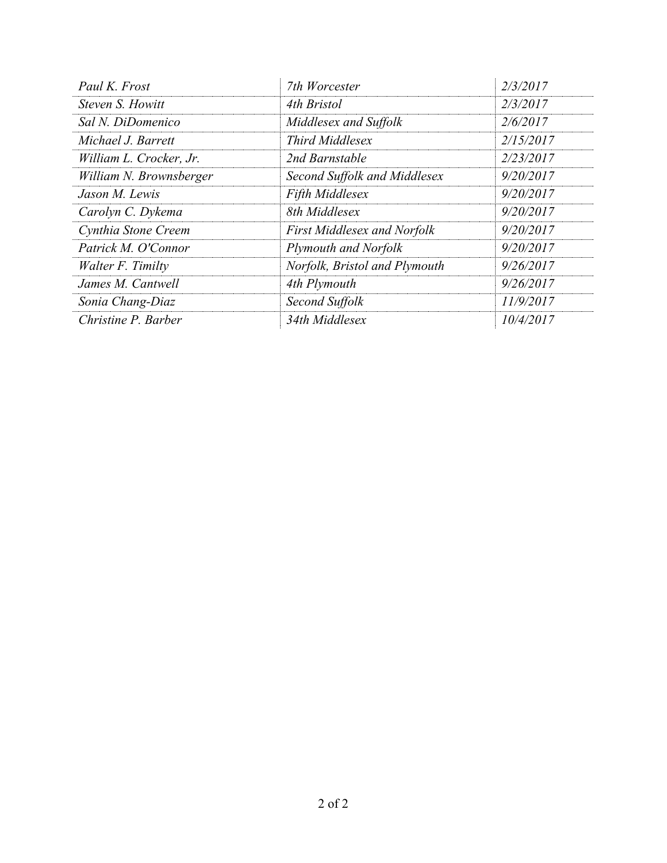| Paul K. Frost           | 7th Worcester                      | 2/3/2017  |
|-------------------------|------------------------------------|-----------|
| Steven S. Howitt        | 4th Bristol                        | 2/3/2017  |
| Sal N. DiDomenico       | Middlesex and Suffolk              | 2/6/2017  |
| Michael J. Barrett      | <b>Third Middlesex</b>             | 2/15/2017 |
| William L. Crocker, Jr. | 2nd Barnstable                     | 2/23/2017 |
| William N. Brownsberger | Second Suffolk and Middlesex       | 9/20/2017 |
| Jason M. Lewis          | Fifth Middlesex                    | 9/20/2017 |
| Carolyn C. Dykema       | 8th Middlesex                      | 9/20/2017 |
| Cynthia Stone Creem     | <b>First Middlesex and Norfolk</b> | 9/20/2017 |
| Patrick M. O'Connor     | Plymouth and Norfolk               | 9/20/2017 |
| Walter F. Timilty       | Norfolk, Bristol and Plymouth      | 9/26/2017 |
| James M. Cantwell       | 4th Plymouth                       | 9/26/2017 |
| Sonia Chang-Diaz        | Second Suffolk                     | 11/9/2017 |
| Christine P. Barber     | 34th Middlesex                     | 10/4/2017 |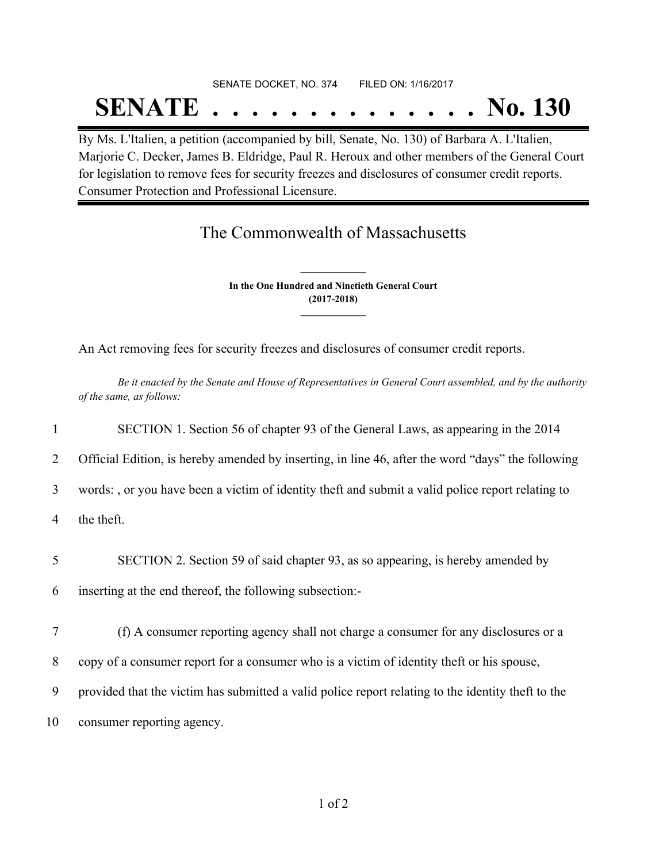# SENATE DOCKET, NO. 374 FILED ON: 1/16/2017 **SENATE . . . . . . . . . . . . . . No. 130**

By Ms. L'Italien, a petition (accompanied by bill, Senate, No. 130) of Barbara A. L'Italien, Marjorie C. Decker, James B. Eldridge, Paul R. Heroux and other members of the General Court for legislation to remove fees for security freezes and disclosures of consumer credit reports. Consumer Protection and Professional Licensure.

## The Commonwealth of Massachusetts

**In the One Hundred and Ninetieth General Court (2017-2018) \_\_\_\_\_\_\_\_\_\_\_\_\_\_\_**

**\_\_\_\_\_\_\_\_\_\_\_\_\_\_\_**

An Act removing fees for security freezes and disclosures of consumer credit reports.

Be it enacted by the Senate and House of Representatives in General Court assembled, and by the authority *of the same, as follows:*

|    | SECTION 1. Section 56 of chapter 93 of the General Laws, as appearing in the 2014                  |
|----|----------------------------------------------------------------------------------------------------|
| 2  | Official Edition, is hereby amended by inserting, in line 46, after the word "days" the following  |
| 3  | words:, or you have been a victim of identity theft and submit a valid police report relating to   |
| 4  | the theft.                                                                                         |
| 5  | SECTION 2. Section 59 of said chapter 93, as so appearing, is hereby amended by                    |
| 6  | inserting at the end thereof, the following subsection:-                                           |
| 7  | (f) A consumer reporting agency shall not charge a consumer for any disclosures or a               |
| 8  | copy of a consumer report for a consumer who is a victim of identity theft or his spouse,          |
| 9  | provided that the victim has submitted a valid police report relating to the identity theft to the |
| 10 | consumer reporting agency.                                                                         |